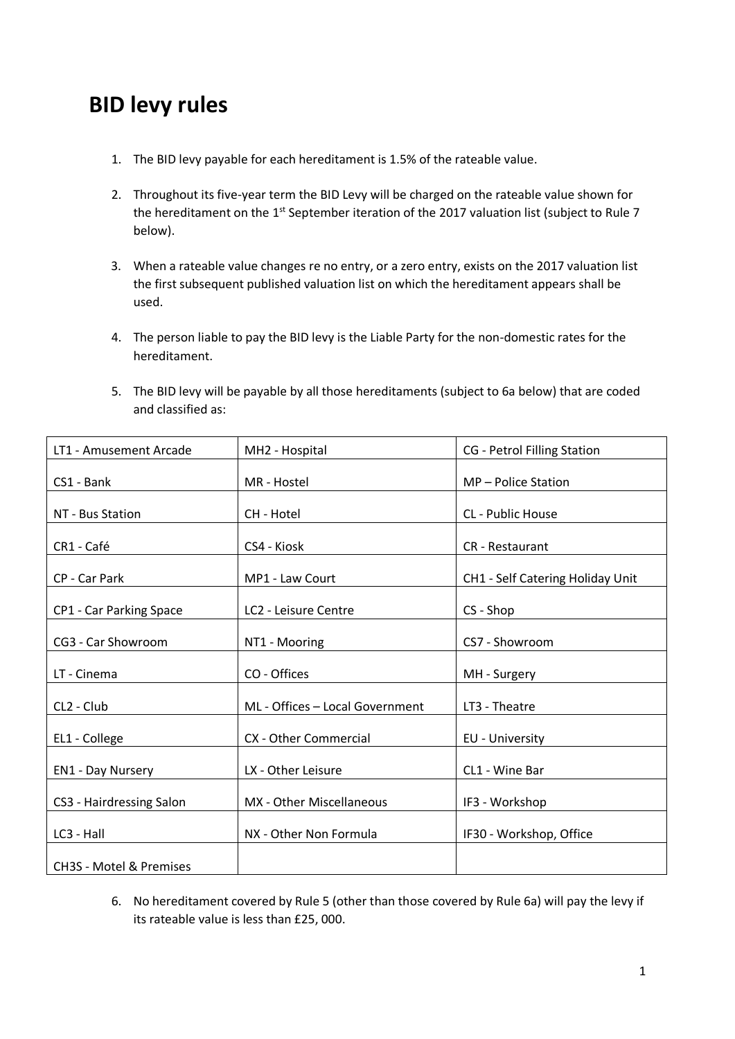## **BID levy rules**

- 1. The BID levy payable for each hereditament is 1.5% of the rateable value.
- 2. Throughout its five-year term the BID Levy will be charged on the rateable value shown for the hereditament on the 1<sup>st</sup> September iteration of the 2017 valuation list (subject to Rule 7 below).
- 3. When a rateable value changes re no entry, or a zero entry, exists on the 2017 valuation list the first subsequent published valuation list on which the hereditament appears shall be used.
- 4. The person liable to pay the BID levy is the Liable Party for the non-domestic rates for the hereditament.
- 5. The BID levy will be payable by all those hereditaments (subject to 6a below) that are coded and classified as:

| LT1 - Amusement Arcade             | MH2 - Hospital                  | <b>CG</b> - Petrol Filling Station |
|------------------------------------|---------------------------------|------------------------------------|
| CS1 - Bank                         | MR - Hostel                     | MP-Police Station                  |
| NT - Bus Station                   | CH - Hotel                      | <b>CL</b> - Public House           |
| CR1 - Café                         | CS4 - Kiosk                     | <b>CR</b> - Restaurant             |
| CP - Car Park                      | MP1 - Law Court                 | CH1 - Self Catering Holiday Unit   |
| CP1 - Car Parking Space            | LC2 - Leisure Centre            | CS - Shop                          |
| CG3 - Car Showroom                 | NT1 - Mooring                   | CS7 - Showroom                     |
| LT - Cinema                        | CO - Offices                    | MH - Surgery                       |
| CL2 - Club                         | ML - Offices - Local Government | LT3 - Theatre                      |
| EL1 - College                      | CX - Other Commercial           | EU - University                    |
| <b>EN1 - Day Nursery</b>           | LX - Other Leisure              | CL1 - Wine Bar                     |
| CS3 - Hairdressing Salon           | MX - Other Miscellaneous        | IF3 - Workshop                     |
| LC3 - Hall                         | NX - Other Non Formula          | IF30 - Workshop, Office            |
| <b>CH3S - Motel &amp; Premises</b> |                                 |                                    |

6. No hereditament covered by Rule 5 (other than those covered by Rule 6a) will pay the levy if its rateable value is less than £25, 000.